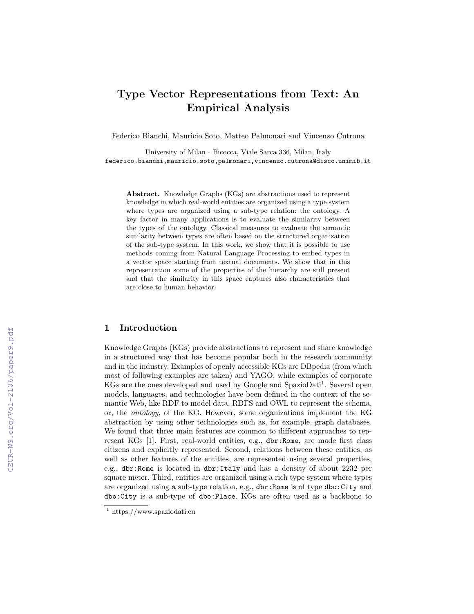# Type Vector Representations from Text: An Empirical Analysis

Federico Bianchi, Mauricio Soto, Matteo Palmonari and Vincenzo Cutrona

University of Milan - Bicocca, Viale Sarca 336, Milan, Italy federico.bianchi,mauricio.soto,palmonari,vincenzo.cutrona@disco.unimib.it

Abstract. Knowledge Graphs (KGs) are abstractions used to represent knowledge in which real-world entities are organized using a type system where types are organized using a sub-type relation: the ontology. A key factor in many applications is to evaluate the similarity between the types of the ontology. Classical measures to evaluate the semantic similarity between types are often based on the structured organization of the sub-type system. In this work, we show that it is possible to use methods coming from Natural Language Processing to embed types in a vector space starting from textual documents. We show that in this representation some of the properties of the hierarchy are still present and that the similarity in this space captures also characteristics that are close to human behavior.

# 1 Introduction

Knowledge Graphs (KGs) provide abstractions to represent and share knowledge in a structured way that has become popular both in the research community and in the industry. Examples of openly accessible KGs are DBpedia (from which most of following examples are taken) and YAGO, while examples of corporate KGs are the ones developed and used by Google and SpazioDati<sup>1</sup>. Several open models, languages, and technologies have been defined in the context of the semantic Web, like RDF to model data, RDFS and OWL to represent the schema, or, the ontology, of the KG. However, some organizations implement the KG abstraction by using other technologies such as, for example, graph databases. We found that three main features are common to different approaches to represent KGs [1]. First, real-world entities, e.g., dbr:Rome, are made first class citizens and explicitly represented. Second, relations between these entities, as well as other features of the entities, are represented using several properties, e.g., dbr:Rome is located in dbr:Italy and has a density of about 2232 per square meter. Third, entities are organized using a rich type system where types are organized using a sub-type relation, e.g., dbr:Rome is of type dbo:City and dbo:City is a sub-type of dbo:Place. KGs are often used as a backbone to

<sup>1</sup> https://www.spaziodati.eu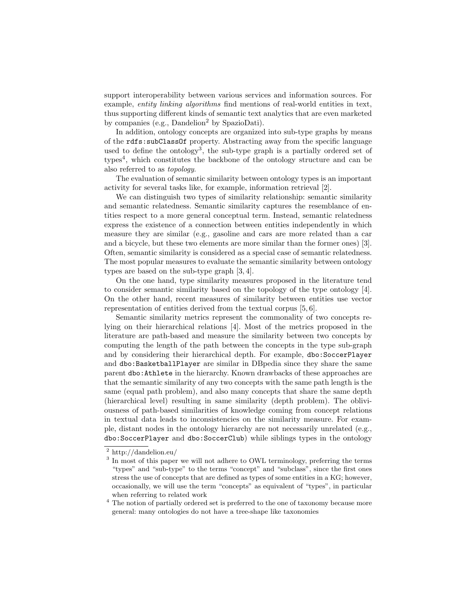support interoperability between various services and information sources. For example, entity linking algorithms find mentions of real-world entities in text, thus supporting different kinds of semantic text analytics that are even marketed by companies (e.g., Dandelion<sup>2</sup> by SpazioDati).

In addition, ontology concepts are organized into sub-type graphs by means of the rdfs:subClassOf property. Abstracting away from the specific language used to define the ontology<sup>3</sup>, the sub-type graph is a partially ordered set of types<sup>4</sup>, which constitutes the backbone of the ontology structure and can be also referred to as topology.

The evaluation of semantic similarity between ontology types is an important activity for several tasks like, for example, information retrieval [2].

We can distinguish two types of similarity relationship: semantic similarity and semantic relatedness. Semantic similarity captures the resemblance of entities respect to a more general conceptual term. Instead, semantic relatedness express the existence of a connection between entities independently in which measure they are similar (e.g., gasoline and cars are more related than a car and a bicycle, but these two elements are more similar than the former ones) [3]. Often, semantic similarity is considered as a special case of semantic relatedness. The most popular measures to evaluate the semantic similarity between ontology types are based on the sub-type graph [3, 4].

On the one hand, type similarity measures proposed in the literature tend to consider semantic similarity based on the topology of the type ontology [4]. On the other hand, recent measures of similarity between entities use vector representation of entities derived from the textual corpus [5, 6].

Semantic similarity metrics represent the commonality of two concepts relying on their hierarchical relations [4]. Most of the metrics proposed in the literature are path-based and measure the similarity between two concepts by computing the length of the path between the concepts in the type sub-graph and by considering their hierarchical depth. For example, dbo:SoccerPlayer and dbo:BasketballPlayer are similar in DBpedia since they share the same parent dbo:Athlete in the hierarchy. Known drawbacks of these approaches are that the semantic similarity of any two concepts with the same path length is the same (equal path problem), and also many concepts that share the same depth (hierarchical level) resulting in same similarity (depth problem). The obliviousness of path-based similarities of knowledge coming from concept relations in textual data leads to inconsistencies on the similarity measure. For example, distant nodes in the ontology hierarchy are not necessarily unrelated (e.g., dbo:SoccerPlayer and dbo:SoccerClub) while siblings types in the ontology

<sup>2</sup> http://dandelion.eu/

<sup>&</sup>lt;sup>3</sup> In most of this paper we will not adhere to OWL terminology, preferring the terms "types" and "sub-type" to the terms "concept" and "subclass", since the first ones stress the use of concepts that are defined as types of some entities in a KG; however, occasionally, we will use the term "concepts" as equivalent of "types", in particular when referring to related work

 $^4$  The notion of partially ordered set is preferred to the one of taxonomy because more general: many ontologies do not have a tree-shape like taxonomies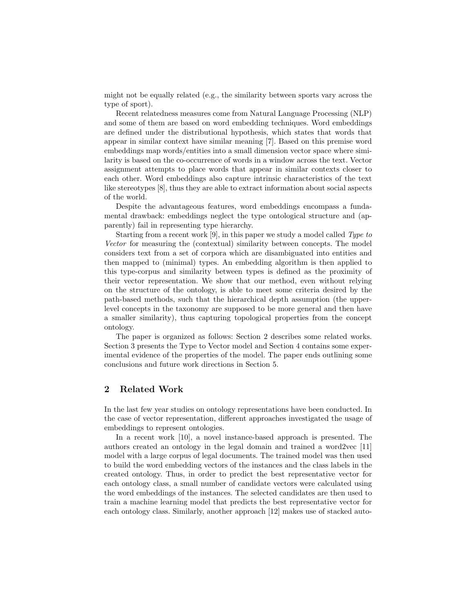might not be equally related (e.g., the similarity between sports vary across the type of sport).

Recent relatedness measures come from Natural Language Processing (NLP) and some of them are based on word embedding techniques. Word embeddings are defined under the distributional hypothesis, which states that words that appear in similar context have similar meaning [7]. Based on this premise word embeddings map words/entities into a small dimension vector space where similarity is based on the co-occurrence of words in a window across the text. Vector assignment attempts to place words that appear in similar contexts closer to each other. Word embeddings also capture intrinsic characteristics of the text like stereotypes [8], thus they are able to extract information about social aspects of the world.

Despite the advantageous features, word embeddings encompass a fundamental drawback: embeddings neglect the type ontological structure and (apparently) fail in representing type hierarchy.

Starting from a recent work [9], in this paper we study a model called Type to Vector for measuring the (contextual) similarity between concepts. The model considers text from a set of corpora which are disambiguated into entities and then mapped to (minimal) types. An embedding algorithm is then applied to this type-corpus and similarity between types is defined as the proximity of their vector representation. We show that our method, even without relying on the structure of the ontology, is able to meet some criteria desired by the path-based methods, such that the hierarchical depth assumption (the upperlevel concepts in the taxonomy are supposed to be more general and then have a smaller similarity), thus capturing topological properties from the concept ontology.

The paper is organized as follows: Section 2 describes some related works. Section 3 presents the Type to Vector model and Section 4 contains some experimental evidence of the properties of the model. The paper ends outlining some conclusions and future work directions in Section 5.

# 2 Related Work

In the last few year studies on ontology representations have been conducted. In the case of vector representation, different approaches investigated the usage of embeddings to represent ontologies.

In a recent work [10], a novel instance-based approach is presented. The authors created an ontology in the legal domain and trained a word2vec [11] model with a large corpus of legal documents. The trained model was then used to build the word embedding vectors of the instances and the class labels in the created ontology. Thus, in order to predict the best representative vector for each ontology class, a small number of candidate vectors were calculated using the word embeddings of the instances. The selected candidates are then used to train a machine learning model that predicts the best representative vector for each ontology class. Similarly, another approach [12] makes use of stacked auto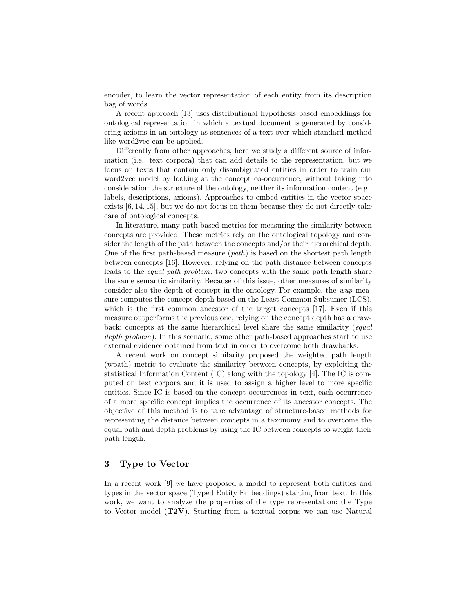encoder, to learn the vector representation of each entity from its description bag of words.

A recent approach [13] uses distributional hypothesis based embeddings for ontological representation in which a textual document is generated by considering axioms in an ontology as sentences of a text over which standard method like word2vec can be applied.

Differently from other approaches, here we study a different source of information (i.e., text corpora) that can add details to the representation, but we focus on texts that contain only disambiguated entities in order to train our word2vec model by looking at the concept co-occurrence, without taking into consideration the structure of the ontology, neither its information content (e.g., labels, descriptions, axioms). Approaches to embed entities in the vector space exists [6, 14, 15], but we do not focus on them because they do not directly take care of ontological concepts.

In literature, many path-based metrics for measuring the similarity between concepts are provided. These metrics rely on the ontological topology and consider the length of the path between the concepts and/or their hierarchical depth. One of the first path-based measure  $(path)$  is based on the shortest path length between concepts [16]. However, relying on the path distance between concepts leads to the equal path problem: two concepts with the same path length share the same semantic similarity. Because of this issue, other measures of similarity consider also the depth of concept in the ontology. For example, the wup measure computes the concept depth based on the Least Common Subsumer (LCS), which is the first common ancestor of the target concepts [17]. Even if this measure outperforms the previous one, relying on the concept depth has a drawback: concepts at the same hierarchical level share the same similarity (equal depth problem). In this scenario, some other path-based approaches start to use external evidence obtained from text in order to overcome both drawbacks.

A recent work on concept similarity proposed the weighted path length (wpath) metric to evaluate the similarity between concepts, by exploiting the statistical Information Content (IC) along with the topology [4]. The IC is computed on text corpora and it is used to assign a higher level to more specific entities. Since IC is based on the concept occurrences in text, each occurrence of a more specific concept implies the occurrence of its ancestor concepts. The objective of this method is to take advantage of structure-based methods for representing the distance between concepts in a taxonomy and to overcome the equal path and depth problems by using the IC between concepts to weight their path length.

## 3 Type to Vector

In a recent work [9] we have proposed a model to represent both entities and types in the vector space (Typed Entity Embeddings) starting from text. In this work, we want to analyze the properties of the type representation: the Type to Vector model (T2V). Starting from a textual corpus we can use Natural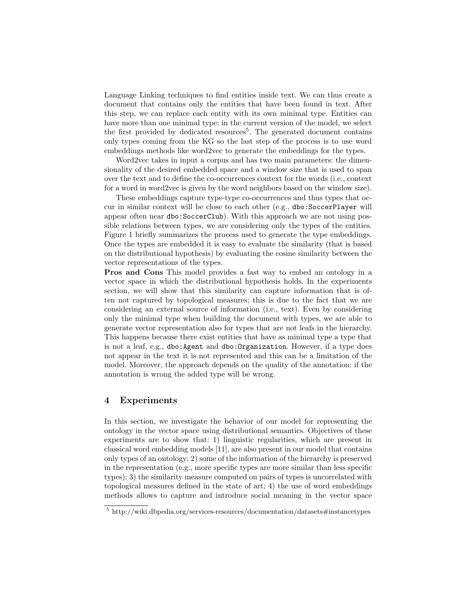Language Linking techniques to find entities inside text. We can thus create a document that contains only the entities that have been found in text. After this step, we can replace each entity with its own minimal type. Entities can have more than one minimal type: in the current version of the model, we select the first provided by dedicated resources<sup>5</sup>. The generated document contains only types coming from the KG so the last step of the process is to use word embeddings methods like word2vec to generate the embeddings for the types.

Word2vec takes in input a corpus and has two main parameters: the dimensionality of the desired embedded space and a window size that is used to span over the text and to define the co-occurrences context for the words (i.e., context for a word in word2vec is given by the word neighbors based on the window size).

These embeddings capture type-type co-occurrences and thus types that occur in similar context will be close to each other (e.g., dbo:SoccerPlayer will appear often near dbo:SoccerClub). With this approach we are not using possible relations between types, we are considering only the types of the entities. Figure 1 briefly summarizes the process used to generate the type embeddings. Once the types are embedded it is easy to evaluate the similarity (that is based on the distributional hypothesis) by evaluating the cosine similarity between the vector representations of the types.

Pros and Cons This model provides a fast way to embed an ontology in a vector space in which the distributional hypothesis holds. In the experiments section, we will show that this similarity can capture information that is often not captured by topological measures; this is due to the fact that we are considering an external source of information (i.e., text). Even by considering only the minimal type when building the document with types, we are able to generate vector representation also for types that are not leafs in the hierarchy. This happens because there exist entities that have as minimal type a type that is not a leaf, e.g., dbo:Agent and dbo:Organization. However, if a type does not appear in the text it is not represented and this can be a limitation of the model. Moreover, the approach depends on the quality of the annotation: if the annotation is wrong the added type will be wrong.

## 4 Experiments

In this section, we investigate the behavior of our model for representing the ontology in the vector space using distributional semantics. Objectives of these experiments are to show that: 1) linguistic regularities, which are present in classical word embedding models [11], are also present in our model that contains only types of an ontology; 2) some of the information of the hierarchy is preserved in the representation (e.g., more specific types are more similar than less specific types); 3) the similarity measure computed on pairs of types is uncorrelated with topological measures defined in the state of art; 4) the use of word embeddings methods allows to capture and introduce social meaning in the vector space

 $5 \text{ http://wik.i.dbpedia.org/ services-resources/documentation/datasets\#instancetypes}$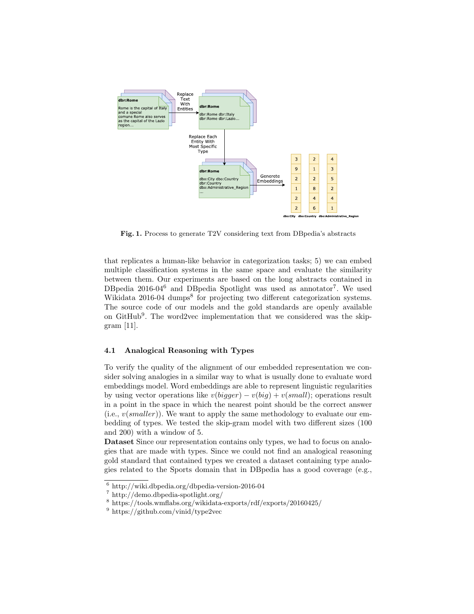

Fig. 1. Process to generate T2V considering text from DBpedia's abstracts

that replicates a human-like behavior in categorization tasks; 5) we can embed multiple classification systems in the same space and evaluate the similarity between them. Our experiments are based on the long abstracts contained in DBpedia 2016-04<sup>6</sup> and DBpedia Spotlight was used as annotator<sup>7</sup>. We used Wikidata 2016-04 dumps<sup>8</sup> for projecting two different categorization systems. The source code of our models and the gold standards are openly available on GitHub<sup>9</sup>. The word2vec implementation that we considered was the skipgram [11].

## 4.1 Analogical Reasoning with Types

To verify the quality of the alignment of our embedded representation we consider solving analogies in a similar way to what is usually done to evaluate word embeddings model. Word embeddings are able to represent linguistic regularities by using vector operations like  $v(bigger) - v(big) + v(small)$ ; operations result in a point in the space in which the nearest point should be the correct answer (i.e.,  $v(smaller)$ ). We want to apply the same methodology to evaluate our embedding of types. We tested the skip-gram model with two different sizes (100 and 200) with a window of 5.

Dataset Since our representation contains only types, we had to focus on analogies that are made with types. Since we could not find an analogical reasoning gold standard that contained types we created a dataset containing type analogies related to the Sports domain that in DBpedia has a good coverage (e.g.,

 $6$  http://wiki.dbpedia.org/dbpedia-version-2016-04

<sup>7</sup> http://demo.dbpedia-spotlight.org/

<sup>8</sup> https://tools.wmflabs.org/wikidata-exports/rdf/exports/20160425/

 $9 \text{ https://github.com/vinid/type2vec}$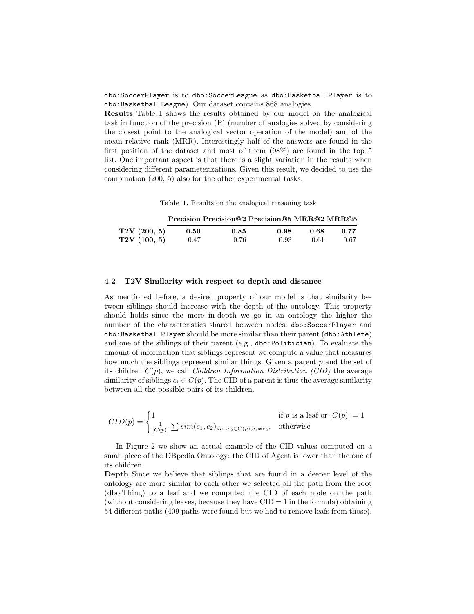dbo:SoccerPlayer is to dbo:SoccerLeague as dbo:BasketballPlayer is to dbo:BasketballLeague). Our dataset contains 868 analogies.

Results Table 1 shows the results obtained by our model on the analogical task in function of the precision (P) (number of analogies solved by considering the closest point to the analogical vector operation of the model) and of the mean relative rank (MRR). Interestingly half of the answers are found in the first position of the dataset and most of them (98%) are found in the top 5 list. One important aspect is that there is a slight variation in the results when considering different parameterizations. Given this result, we decided to use the combination (200, 5) also for the other experimental tasks.

Table 1. Results on the analogical reasoning task

|             |      | Precision Precision@2 Precision@5 MRR@2 MRR@5 |      |      |      |
|-------------|------|-----------------------------------------------|------|------|------|
| T2V(200, 5) | 0.50 | 0.85                                          | 0.98 | 0.68 | 0.77 |
| T2V(100, 5) | 0.47 | 0.76                                          | 0.93 | 0.61 | 0.67 |

#### 4.2 T2V Similarity with respect to depth and distance

As mentioned before, a desired property of our model is that similarity between siblings should increase with the depth of the ontology. This property should holds since the more in-depth we go in an ontology the higher the number of the characteristics shared between nodes: dbo:SoccerPlayer and dbo:BasketballPlayer should be more similar than their parent (dbo:Athlete) and one of the siblings of their parent (e.g., dbo:Politician). To evaluate the amount of information that siblings represent we compute a value that measures how much the siblings represent similar things. Given a parent  $p$  and the set of its children  $C(p)$ , we call *Children Information Distribution (CID)* the average similarity of siblings  $c_i \in C(p)$ . The CID of a parent is thus the average similarity between all the possible pairs of its children.

$$
CID(p) = \begin{cases} 1 & \text{if } p \text{ is a leaf or } |C(p)| = 1\\ \frac{1}{|C(p)|} \sum sim(c_1, c_2)_{\forall c_1, c_2 \in C(p), c_1 \neq c_2}, & \text{otherwise} \end{cases}
$$

In Figure 2 we show an actual example of the CID values computed on a small piece of the DBpedia Ontology: the CID of Agent is lower than the one of its children.

Depth Since we believe that siblings that are found in a deeper level of the ontology are more similar to each other we selected all the path from the root (dbo:Thing) to a leaf and we computed the CID of each node on the path (without considering leaves, because they have  $CID = 1$  in the formula) obtaining 54 different paths (409 paths were found but we had to remove leafs from those).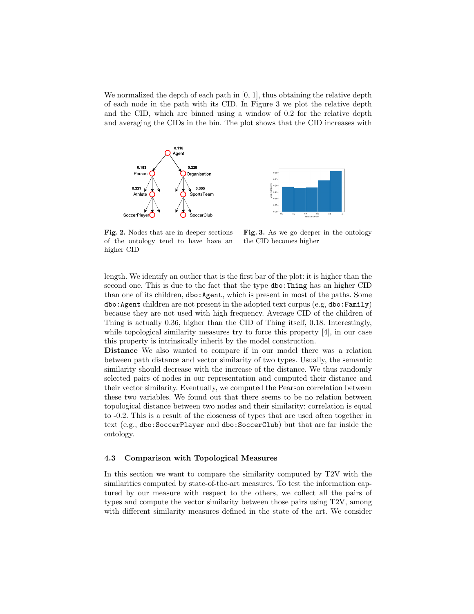We normalized the depth of each path in  $[0, 1]$ , thus obtaining the relative depth of each node in the path with its CID. In Figure 3 we plot the relative depth and the CID, which are binned using a window of 0.2 for the relative depth and averaging the CIDs in the bin. The plot shows that the CID increases with





Fig. 2. Nodes that are in deeper sections of the ontology tend to have have an higher CID

Fig. 3. As we go deeper in the ontology the CID becomes higher

length. We identify an outlier that is the first bar of the plot: it is higher than the second one. This is due to the fact that the type dbo:Thing has an higher CID than one of its children, dbo:Agent, which is present in most of the paths. Some dbo:Agent children are not present in the adopted text corpus (e.g, dbo:Family) because they are not used with high frequency. Average CID of the children of Thing is actually 0.36, higher than the CID of Thing itself, 0.18. Interestingly, while topological similarity measures try to force this property [4], in our case this property is intrinsically inherit by the model construction.

Distance We also wanted to compare if in our model there was a relation between path distance and vector similarity of two types. Usually, the semantic similarity should decrease with the increase of the distance. We thus randomly selected pairs of nodes in our representation and computed their distance and their vector similarity. Eventually, we computed the Pearson correlation between these two variables. We found out that there seems to be no relation between topological distance between two nodes and their similarity: correlation is equal to -0.2. This is a result of the closeness of types that are used often together in text (e.g., dbo:SoccerPlayer and dbo:SoccerClub) but that are far inside the ontology.

#### 4.3 Comparison with Topological Measures

In this section we want to compare the similarity computed by T2V with the similarities computed by state-of-the-art measures. To test the information captured by our measure with respect to the others, we collect all the pairs of types and compute the vector similarity between those pairs using T2V, among with different similarity measures defined in the state of the art. We consider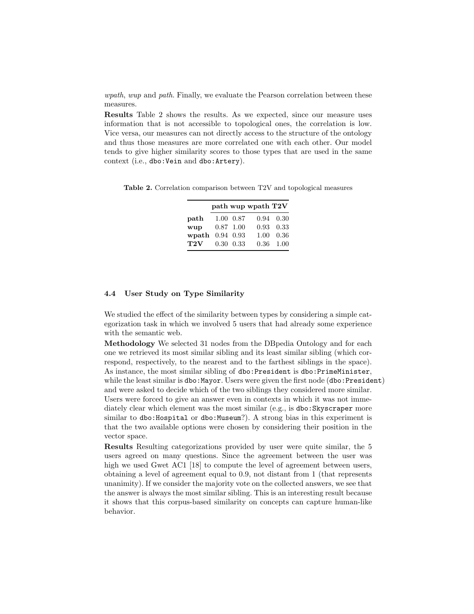wpath, wup and path. Finally, we evaluate the Pearson correlation between these measures.

Results Table 2 shows the results. As we expected, since our measure uses information that is not accessible to topological ones, the correlation is low. Vice versa, our measures can not directly access to the structure of the ontology and thus those measures are more correlated one with each other. Our model tends to give higher similarity scores to those types that are used in the same context (i.e., dbo:Vein and dbo:Artery).

Table 2. Correlation comparison between T2V and topological measures

|             |              | path wup wpath T2V |                   |
|-------------|--------------|--------------------|-------------------|
| path        | 1.00 0.87    |                    | 0.94 0.30         |
| wup         | $0.87$ 1.00  |                    | 0.93 0.33         |
| wpath       | 0.94 0.93    |                    | $1.00 \quad 0.36$ |
| ${\rm T2V}$ | $0.30\ 0.33$ |                    | $0.36$ 1.00       |

#### 4.4 User Study on Type Similarity

We studied the effect of the similarity between types by considering a simple categorization task in which we involved 5 users that had already some experience with the semantic web.

Methodology We selected 31 nodes from the DBpedia Ontology and for each one we retrieved its most similar sibling and its least similar sibling (which correspond, respectively, to the nearest and to the farthest siblings in the space). As instance, the most similar sibling of dbo:President is dbo:PrimeMinister, while the least similar is dbo: Mayor. Users were given the first node (dbo: President) and were asked to decide which of the two siblings they considered more similar. Users were forced to give an answer even in contexts in which it was not immediately clear which element was the most similar (e.g., is dbo: Skyscraper more similar to dbo: Hospital or dbo: Museum?). A strong bias in this experiment is that the two available options were chosen by considering their position in the vector space.

Results Resulting categorizations provided by user were quite similar, the 5 users agreed on many questions. Since the agreement between the user was high we used Gwet AC1 [18] to compute the level of agreement between users, obtaining a level of agreement equal to 0.9, not distant from 1 (that represents unanimity). If we consider the majority vote on the collected answers, we see that the answer is always the most similar sibling. This is an interesting result because it shows that this corpus-based similarity on concepts can capture human-like behavior.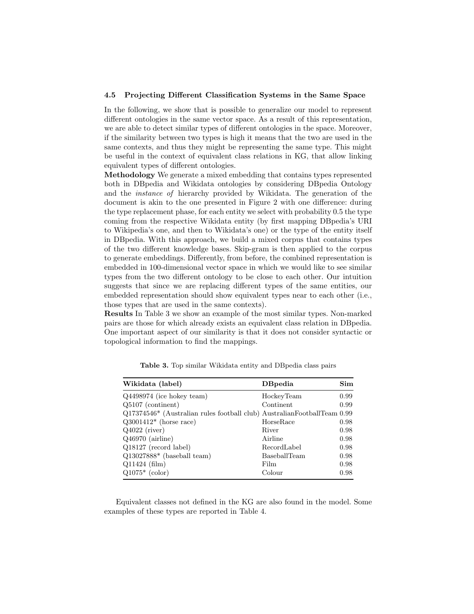#### 4.5 Projecting Different Classification Systems in the Same Space

In the following, we show that is possible to generalize our model to represent different ontologies in the same vector space. As a result of this representation, we are able to detect similar types of different ontologies in the space. Moreover, if the similarity between two types is high it means that the two are used in the same contexts, and thus they might be representing the same type. This might be useful in the context of equivalent class relations in KG, that allow linking equivalent types of different ontologies.

Methodology We generate a mixed embedding that contains types represented both in DBpedia and Wikidata ontologies by considering DBpedia Ontology and the instance of hierarchy provided by Wikidata. The generation of the document is akin to the one presented in Figure 2 with one difference: during the type replacement phase, for each entity we select with probability 0.5 the type coming from the respective Wikidata entity (by first mapping DBpedia's URI to Wikipedia's one, and then to Wikidata's one) or the type of the entity itself in DBpedia. With this approach, we build a mixed corpus that contains types of the two different knowledge bases. Skip-gram is then applied to the corpus to generate embeddings. Differently, from before, the combined representation is embedded in 100-dimensional vector space in which we would like to see similar types from the two different ontology to be close to each other. Our intuition suggests that since we are replacing different types of the same entities, our embedded representation should show equivalent types near to each other (i.e., those types that are used in the same contexts).

Results In Table 3 we show an example of the most similar types. Non-marked pairs are those for which already exists an equivalent class relation in DBpedia. One important aspect of our similarity is that it does not consider syntactic or topological information to find the mappings.

| Wikidata (label)                                                                    | <b>D</b> Bpedia | Sim  |
|-------------------------------------------------------------------------------------|-----------------|------|
| Q4498974 (ice hokey team)                                                           | HockeyTeam      | 0.99 |
| $Q5107$ (continent)                                                                 | Continent       | 0.99 |
| Q17374546 <sup>*</sup> (Australian rules football club) AustralianFootballTeam 0.99 |                 |      |
| $Q3001412*$ (horse race)                                                            | HorseRace       | 0.98 |
| $Q4022$ (river)                                                                     | River           | 0.98 |
| $Q46970$ (airline)                                                                  | Airline         | 0.98 |
| Q18127 (record label)                                                               | RecordLabel     | 0.98 |
| $Q13027888*$ (baseball team)                                                        | BaseballTeam    | 0.98 |
| $Q11424$ (film)                                                                     | Film            | 0.98 |
| $Q1075*$ (color)                                                                    | Colour          | 0.98 |

Table 3. Top similar Wikidata entity and DBpedia class pairs

Equivalent classes not defined in the KG are also found in the model. Some examples of these types are reported in Table 4.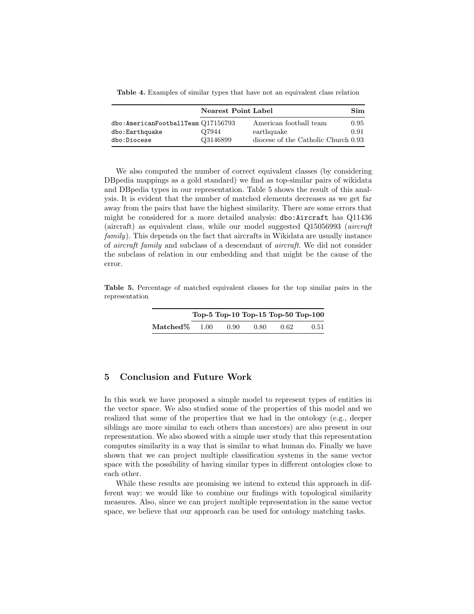Table 4. Examples of similar types that have not an equivalent class relation

|                                         | Nearest Point Label |                                     |      |
|-----------------------------------------|---------------------|-------------------------------------|------|
| $dbo:$ AmericanFootballTeam $Q17156793$ |                     | American football team              | 0.95 |
| dbo:Earthquake                          | Q7944               | earthquake                          | 0.91 |
| dbo:Diocese                             | Q3146899            | diocese of the Catholic Church 0.93 |      |

We also computed the number of correct equivalent classes (by considering DBpedia mappings as a gold standard) we find as top-similar pairs of wikidata and DBpedia types in our representation. Table 5 shows the result of this analysis. It is evident that the number of matched elements decreases as we get far away from the pairs that have the highest similarity. There are some errors that might be considered for a more detailed analysis: dbo:Aircraft has Q11436 (aircraft) as equivalent class, while our model suggested Q15056993 (aircraft family). This depends on the fact that aircrafts in Wikidata are usually instance of aircraft family and subclass of a descendant of aircraft. We did not consider the subclass of relation in our embedding and that might be the cause of the error.

Table 5. Percentage of matched equivalent classes for the top similar pairs in the representation

|                 |      |      |      |      | Top-5 Top-10 Top-15 Top-50 Top-100 |
|-----------------|------|------|------|------|------------------------------------|
| $\rm Matched\%$ | 1.00 | 0.90 | 0.80 | 0.62 | 0.51                               |

# 5 Conclusion and Future Work

In this work we have proposed a simple model to represent types of entities in the vector space. We also studied some of the properties of this model and we realized that some of the properties that we had in the ontology (e.g., deeper siblings are more similar to each others than ancestors) are also present in our representation. We also showed with a simple user study that this representation computes similarity in a way that is similar to what human do. Finally we have shown that we can project multiple classification systems in the same vector space with the possibility of having similar types in different ontologies close to each other.

While these results are promising we intend to extend this approach in different way: we would like to combine our findings with topological similarity measures. Also, since we can project multiple representation in the same vector space, we believe that our approach can be used for ontology matching tasks.